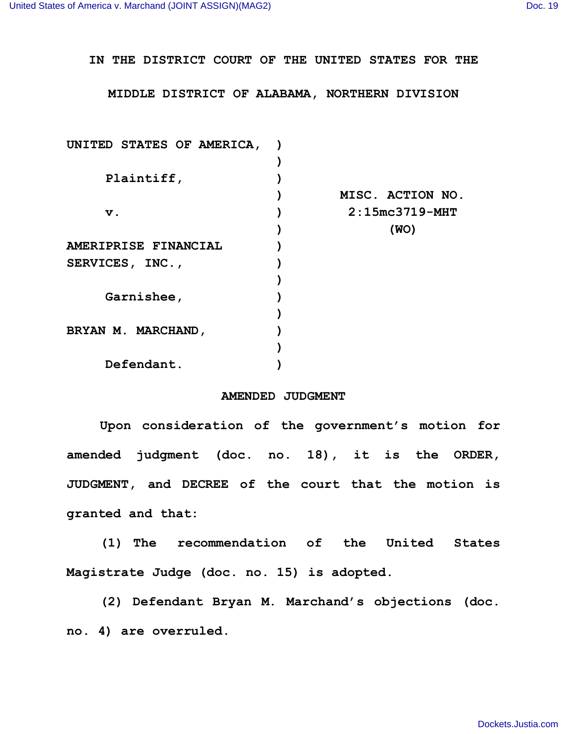**IN THE DISTRICT COURT OF THE UNITED STATES FOR THE**

**MIDDLE DISTRICT OF ALABAMA, NORTHERN DIVISION**

| UNITED STATES OF AMERICA, |                  |
|---------------------------|------------------|
|                           |                  |
| Plaintiff,                |                  |
|                           | MISC. ACTION NO. |
| $\mathbf v$ .             | $2:15mc3719-MHT$ |
|                           | (WO)             |
| AMERIPRISE FINANCIAL      |                  |
| SERVICES, INC.,           |                  |
|                           |                  |
| Garnishee,                |                  |
|                           |                  |
| BRYAN M. MARCHAND,        |                  |
|                           |                  |
| Defendant.                |                  |

## **AMENDED JUDGMENT**

**Upon consideration of the government's motion for amended judgment (doc. no. 18), it is the ORDER, JUDGMENT, and DECREE of the court that the motion is granted and that:**

**(1) The recommendation of the United States Magistrate Judge (doc. no. 15) is adopted.** 

**(2) Defendant Bryan M. Marchand's objections (doc. no. 4) are overruled.**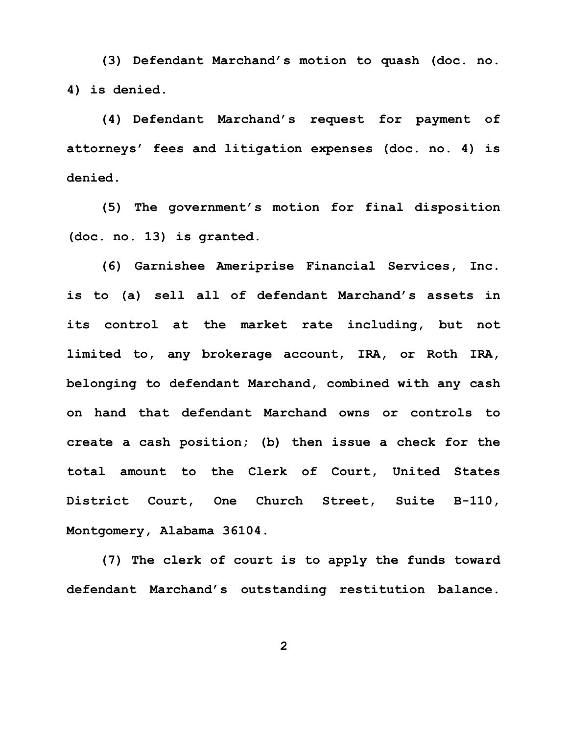**(3) Defendant Marchand's motion to quash (doc. no. 4) is denied.** 

**(4) Defendant Marchand's request for payment of attorneys' fees and litigation expenses (doc. no. 4) is denied.**

**(5) The government's motion for final disposition (doc. no. 13) is granted.**

**(6) Garnishee Ameriprise Financial Services, Inc. is to (a) sell all of defendant Marchand's assets in its control at the market rate including, but not limited to, any brokerage account, IRA, or Roth IRA, belonging to defendant Marchand, combined with any cash on hand that defendant Marchand owns or controls to create a cash position; (b) then issue a check for the total amount to the Clerk of Court, United States District Court, One Church Street, Suite B-110, Montgomery, Alabama 36104.**

**(7) The clerk of court is to apply the funds toward defendant Marchand's outstanding restitution balance.** 

**2**